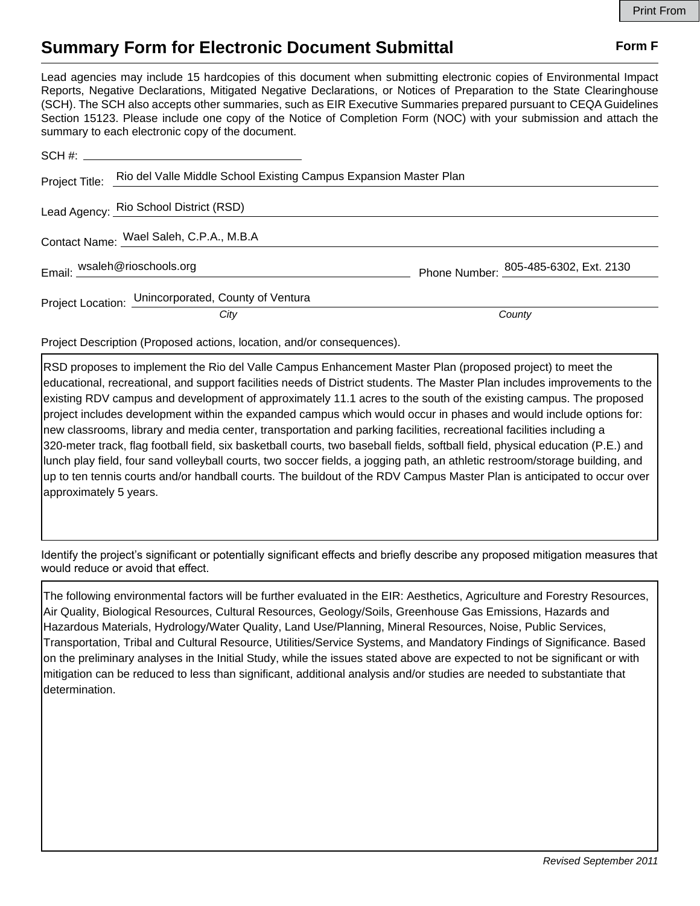## **Summary Form for Electronic Document Submittal Form F Form F**

Lead agencies may include 15 hardcopies of this document when submitting electronic copies of Environmental Impact Reports, Negative Declarations, Mitigated Negative Declarations, or Notices of Preparation to the State Clearinghouse (SCH). The SCH also accepts other summaries, such as EIR Executive Summaries prepared pursuant to CEQA Guidelines Section 15123. Please include one copy of the Notice of Completion Form (NOC) with your submission and attach the summary to each electronic copy of the document.

|  | Project Title: Rio del Valle Middle School Existing Campus Expansion Master Plan |                                       |
|--|----------------------------------------------------------------------------------|---------------------------------------|
|  | Lead Agency: Rio School District (RSD)                                           |                                       |
|  | Contact Name: Wael Saleh, C.P.A., M.B.A                                          |                                       |
|  | Email: wsaleh@rioschools.org                                                     | Phone Number: 265-485-6302, Ext. 2130 |
|  | Project Location: Unincorporated, County of Ventura                              |                                       |
|  | City                                                                             | County                                |

Project Description (Proposed actions, location, and/or consequences).

RSD proposes to implement the Rio del Valle Campus Enhancement Master Plan (proposed project) to meet the educational, recreational, and support facilities needs of District students. The Master Plan includes improvements to the existing RDV campus and development of approximately 11.1 acres to the south of the existing campus. The proposed project includes development within the expanded campus which would occur in phases and would include options for: new classrooms, library and media center, transportation and parking facilities, recreational facilities including a 320-meter track, flag football field, six basketball courts, two baseball fields, softball field, physical education (P.E.) and lunch play field, four sand volleyball courts, two soccer fields, a jogging path, an athletic restroom/storage building, and up to ten tennis courts and/or handball courts. The buildout of the RDV Campus Master Plan is anticipated to occur over approximately 5 years.

Identify the project's significant or potentially significant effects and briefly describe any proposed mitigation measures that would reduce or avoid that effect.

The following environmental factors will be further evaluated in the EIR: Aesthetics, Agriculture and Forestry Resources, Air Quality, Biological Resources, Cultural Resources, Geology/Soils, Greenhouse Gas Emissions, Hazards and Hazardous Materials, Hydrology/Water Quality, Land Use/Planning, Mineral Resources, Noise, Public Services, Transportation, Tribal and Cultural Resource, Utilities/Service Systems, and Mandatory Findings of Significance. Based on the preliminary analyses in the Initial Study, while the issues stated above are expected to not be significant or with mitigation can be reduced to less than significant, additional analysis and/or studies are needed to substantiate that determination.